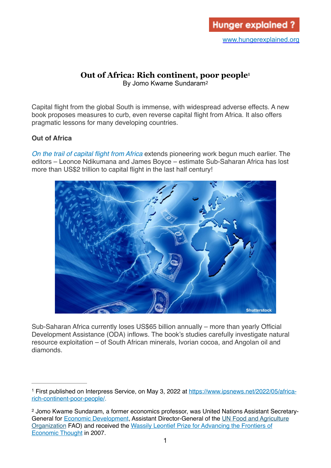# **Out of Africa: Rich continent, poor people[1](#page-0-0)**

<span id="page-0-3"></span><span id="page-0-2"></span>By Jomo Kwame Sundaram[2](#page-0-1)

Capital flight from the global South is immense, with widespread adverse effects. A new book proposes measures to curb, even reverse capital flight from Africa. It also offers pragmatic lessons for many developing countries.

# **Out of Africa**

*[On the trail of capital flight from Africa](https://global.oup.com/academic/product/on-the-trail-of-capital-flight-from-africa-9780198852728?cc=my&lang=en&)* extends pioneering work begun much earlier. The editors – Leonce Ndikumana and James Boyce – estimate Sub-Saharan Africa has lost more than US\$2 trillion to capital flight in the last half century!



Sub-Saharan Africa currently loses US\$65 billion annually – more than yearly Official Development Assistance (ODA) inflows. The book's studies carefully investigate natural resource exploitation – of South African minerals, Ivorian cocoa, and Angolan oil and diamonds.

<span id="page-0-0"></span>First published on Interpress Service, on May 3, 2022 at [https://www.ipsnews.net/2022/05/africa-](https://www.ipsnews.net/2022/05/africa-rich-continent-poor-people/) [1](#page-0-2) [rich-continent-poor-people/](https://www.ipsnews.net/2022/05/africa-rich-continent-poor-people/).

<span id="page-0-1"></span><sup>&</sup>lt;sup>[2](#page-0-3)</sup> Jomo Kwame Sundaram, a former economics professor, was United Nations Assistant Secretary-General for [Economic Development](https://www.un.org/development/desa/en/), Assistant Director-General of the [UN Food and Agriculture](http://www.fao.org/economic/es-home/en/#.WHg8OrHpPEY)  [Organization](http://www.fao.org/economic/es-home/en/#.WHg8OrHpPEY) FAO) and received the [Wassily Leontief Prize for Advancing the Frontiers of](http://www.ase.tufts.edu/gdae/about_us/leontief.html)  [Economic Thought](http://www.ase.tufts.edu/gdae/about_us/leontief.html) in 2007.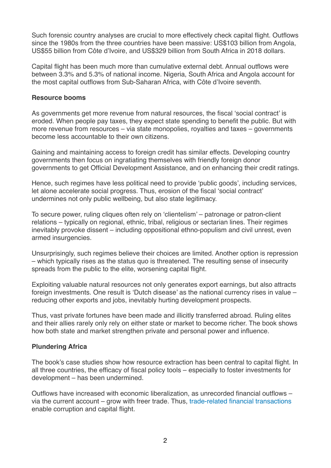Such forensic country analyses are crucial to more effectively check capital flight. Outflows since the 1980s from the three countries have been massive: US\$103 billion from Angola, US\$55 billion from Côte d'Ivoire, and US\$329 billion from South Africa in 2018 dollars.

Capital flight has been much more than cumulative external debt. Annual outflows were between 3.3% and 5.3% of national income. Nigeria, South Africa and Angola account for the most capital outflows from Sub-Saharan Africa, with Côte d'Ivoire seventh.

#### **Resource booms**

As governments get more revenue from natural resources, the fiscal 'social contract' is eroded. When people pay taxes, they expect state spending to benefit the public. But with more revenue from resources – via state monopolies, royalties and taxes – governments become less accountable to their own citizens.

Gaining and maintaining access to foreign credit has similar effects. Developing country governments then focus on ingratiating themselves with friendly foreign donor governments to get Official Development Assistance, and on enhancing their credit ratings.

Hence, such regimes have less political need to provide 'public goods', including services, let alone accelerate social progress. Thus, erosion of the fiscal 'social contract' undermines not only public wellbeing, but also state legitimacy.

To secure power, ruling cliques often rely on 'clientelism' – patronage or patron-client relations – typically on regional, ethnic, tribal, religious or sectarian lines. Their regimes inevitably provoke dissent – including oppositional ethno-populism and civil unrest, even armed insurgencies.

Unsurprisingly, such regimes believe their choices are limited. Another option is repression – which typically rises as the status quo is threatened. The resulting sense of insecurity spreads from the public to the elite, worsening capital flight.

Exploiting valuable natural resources not only generates export earnings, but also attracts foreign investments. One result is 'Dutch disease' as the national currency rises in value – reducing other exports and jobs, inevitably hurting development prospects.

Thus, vast private fortunes have been made and illicitly transferred abroad. Ruling elites and their allies rarely only rely on either state or market to become richer. The book shows how both state and market strengthen private and personal power and influence.

## **Plundering Africa**

The book's case studies show how resource extraction has been central to capital flight. In all three countries, the efficacy of fiscal policy tools – especially to foster investments for development – has been undermined.

Outflows have increased with economic liberalization, as unrecorded financial outflows – via the current account – grow with freer trade. Thus, [trade-related financial transactions](https://peri.umass.edu/images/CapFlightAfrica-5-28-21.pdf) enable corruption and capital flight.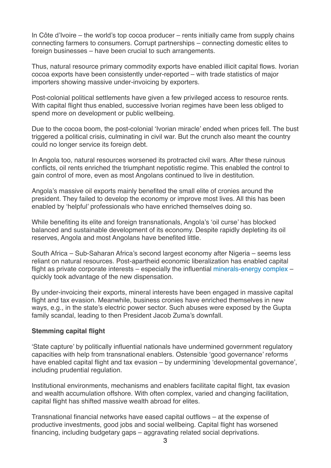In Côte d'Ivoire – the world's top cocoa producer – rents initially came from supply chains connecting farmers to consumers. Corrupt partnerships – connecting domestic elites to foreign businesses – have been crucial to such arrangements.

Thus, natural resource primary commodity exports have enabled illicit capital flows. Ivorian cocoa exports have been consistently under-reported – with trade statistics of major importers showing massive under-invoicing by exporters.

Post-colonial political settlements have given a few privileged access to resource rents. With capital flight thus enabled, successive Ivorian regimes have been less obliged to spend more on development or public wellbeing.

Due to the cocoa boom, the post-colonial 'Ivorian miracle' ended when prices fell. The bust triggered a political crisis, culminating in civil war. But the crunch also meant the country could no longer service its foreign debt.

In Angola too, natural resources worsened its protracted civil wars. After these ruinous conflicts, oil rents enriched the triumphant nepotistic regime. This enabled the control to gain control of more, even as most Angolans continued to live in destitution.

Angola's massive oil exports mainly benefited the small elite of cronies around the president. They failed to develop the economy or improve most lives. All this has been enabled by 'helpful' professionals who have enriched themselves doing so.

While benefiting its elite and foreign transnationals, Angola's 'oil curse' has blocked balanced and sustainable development of its economy. Despite rapidly depleting its oil reserves, Angola and most Angolans have benefited little.

South Africa – Sub-Saharan Africa's second largest economy after Nigeria – seems less reliant on natural resources. Post-apartheid economic liberalization has enabled capital flight as private corporate interests – especially the influential [minerals-energy complex](https://www.taylorfrancis.com/books/mono/10.4324/9780429496004/political-economy-south-africa-ben-fine-zavareh-rustomjee) – quickly took advantage of the new dispensation.

By under-invoicing their exports, mineral interests have been engaged in massive capital flight and tax evasion. Meanwhile, business cronies have enriched themselves in new ways, e.g., in the state's electric power sector. Such abuses were exposed by the Gupta family scandal, leading to then President Jacob Zuma's downfall.

#### **Stemming capital flight**

'State capture' by politically influential nationals have undermined government regulatory capacities with help from transnational enablers. Ostensible 'good governance' reforms have enabled capital flight and tax evasion – by undermining 'developmental governance', including prudential regulation.

Institutional environments, mechanisms and enablers facilitate capital flight, tax evasion and wealth accumulation offshore. With often complex, varied and changing facilitation, capital flight has shifted massive wealth abroad for elites.

Transnational financial networks have eased capital outflows – at the expense of productive investments, good jobs and social wellbeing. Capital flight has worsened financing, including budgetary gaps – aggravating related social deprivations.